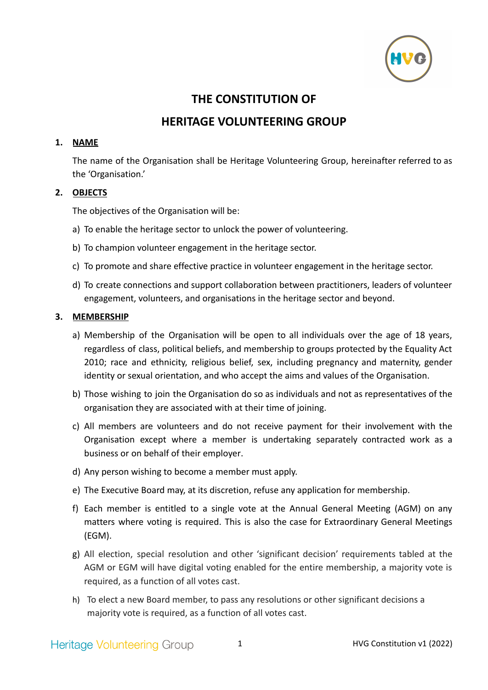

# **THE CONSTITUTION OF**

# **HERITAGE VOLUNTEERING GROUP**

#### **1. NAME**

The name of the Organisation shall be Heritage Volunteering Group, hereinafter referred to as the 'Organisation.'

#### **2. OBJECTS**

The objectives of the Organisation will be:

- a) To enable the heritage sector to unlock the power of volunteering.
- b) To champion volunteer engagement in the heritage sector.
- c) To promote and share effective practice in volunteer engagement in the heritage sector.
- d) To create connections and support collaboration between practitioners, leaders of volunteer engagement, volunteers, and organisations in the heritage sector and beyond.

## **3. MEMBERSHIP**

- a) Membership of the Organisation will be open to all individuals over the age of 18 years, regardless of class, political beliefs, and membership to groups protected by the Equality Act 2010; race and ethnicity, religious belief, sex, including pregnancy and maternity, gender identity or sexual orientation, and who accept the aims and values of the Organisation.
- b) Those wishing to join the Organisation do so as individuals and not as representatives of the organisation they are associated with at their time of joining.
- c) All members are volunteers and do not receive payment for their involvement with the Organisation except where a member is undertaking separately contracted work as a business or on behalf of their employer.
- d) Any person wishing to become a member must apply.
- e) The Executive Board may, at its discretion, refuse any application for membership.
- f) Each member is entitled to a single vote at the Annual General Meeting (AGM) on any matters where voting is required. This is also the case for Extraordinary General Meetings (EGM).
- g) All election, special resolution and other 'significant decision' requirements tabled at the AGM or EGM will have digital voting enabled for the entire membership, a majority vote is required, as a function of all votes cast.
- h) To elect a new Board member, to pass any resolutions or other significant decisions a majority vote is required, as a function of all votes cast.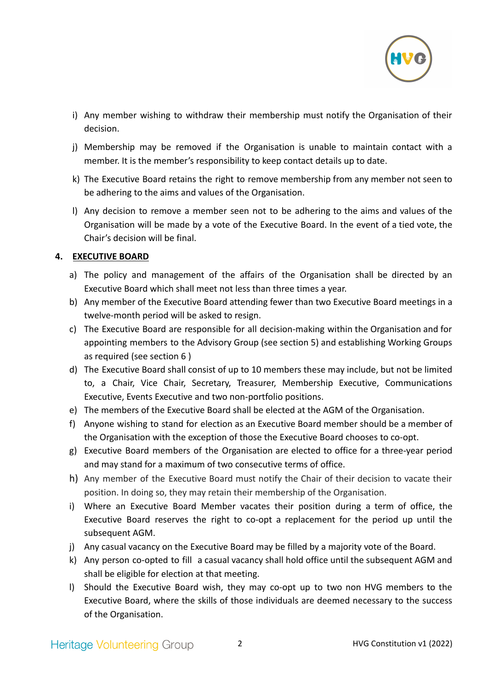

- i) Any member wishing to withdraw their membership must notify the Organisation of their decision.
- j) Membership may be removed if the Organisation is unable to maintain contact with a member. It is the member's responsibility to keep contact details up to date.
- k) The Executive Board retains the right to remove membership from any member not seen to be adhering to the aims and values of the Organisation.
- l) Any decision to remove a member seen not to be adhering to the aims and values of the Organisation will be made by a vote of the Executive Board. In the event of a tied vote, the Chair's decision will be final.

# **4. EXECUTIVE BOARD**

- a) The policy and management of the affairs of the Organisation shall be directed by an Executive Board which shall meet not less than three times a year.
- b) Any member of the Executive Board attending fewer than two Executive Board meetings in a twelve-month period will be asked to resign.
- c) The Executive Board are responsible for all decision-making within the Organisation and for appointing members to the Advisory Group (see section 5) and establishing Working Groups as required (see section 6 )
- d) The Executive Board shall consist of up to 10 members these may include, but not be limited to, a Chair, Vice Chair, Secretary, Treasurer, Membership Executive, Communications Executive, Events Executive and two non-portfolio positions.
- e) The members of the Executive Board shall be elected at the AGM of the Organisation.
- f) Anyone wishing to stand for election as an Executive Board member should be a member of the Organisation with the exception of those the Executive Board chooses to co-opt.
- g) Executive Board members of the Organisation are elected to office for a three-year period and may stand for a maximum of two consecutive terms of office.
- h) Any member of the Executive Board must notify the Chair of their decision to vacate their position. In doing so, they may retain their membership of the Organisation.
- i) Where an Executive Board Member vacates their position during a term of office, the Executive Board reserves the right to co-opt a replacement for the period up until the subsequent AGM.
- j) Any casual vacancy on the Executive Board may be filled by a majority vote of the Board.
- k) Any person co-opted to fill a casual vacancy shall hold office until the subsequent AGM and shall be eligible for election at that meeting.
- l) Should the Executive Board wish, they may co-opt up to two non HVG members to the Executive Board, where the skills of those individuals are deemed necessary to the success of the Organisation.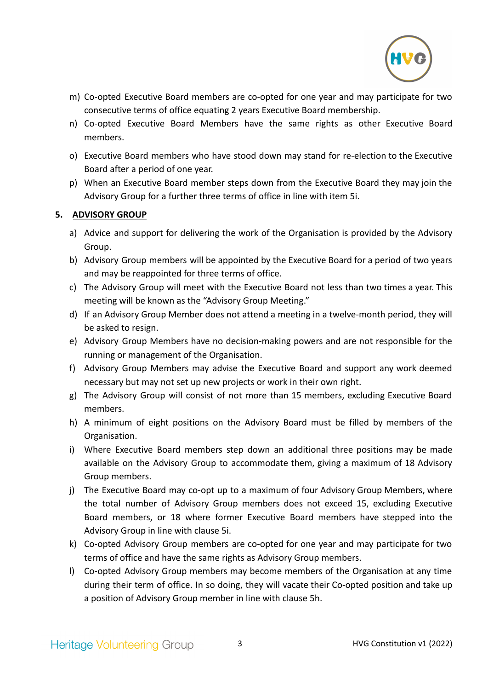

- m) Co-opted Executive Board members are co-opted for one year and may participate for two consecutive terms of office equating 2 years Executive Board membership.
- n) Co-opted Executive Board Members have the same rights as other Executive Board members.
- o) Executive Board members who have stood down may stand for re-election to the Executive Board after a period of one year.
- p) When an Executive Board member steps down from the Executive Board they may join the Advisory Group for a further three terms of office in line with item 5i.

## **5. ADVISORY GROUP**

- a) Advice and support for delivering the work of the Organisation is provided by the Advisory Group.
- b) Advisory Group members will be appointed by the Executive Board for a period of two years and may be reappointed for three terms of office.
- c) The Advisory Group will meet with the Executive Board not less than two times a year. This meeting will be known as the "Advisory Group Meeting."
- d) If an Advisory Group Member does not attend a meeting in a twelve-month period, they will be asked to resign.
- e) Advisory Group Members have no decision-making powers and are not responsible for the running or management of the Organisation.
- f) Advisory Group Members may advise the Executive Board and support any work deemed necessary but may not set up new projects or work in their own right.
- g) The Advisory Group will consist of not more than 15 members, excluding Executive Board members.
- h) A minimum of eight positions on the Advisory Board must be filled by members of the Organisation.
- i) Where Executive Board members step down an additional three positions may be made available on the Advisory Group to accommodate them, giving a maximum of 18 Advisory Group members.
- j) The Executive Board may co-opt up to a maximum of four Advisory Group Members, where the total number of Advisory Group members does not exceed 15, excluding Executive Board members, or 18 where former Executive Board members have stepped into the Advisory Group in line with clause 5i.
- k) Co-opted Advisory Group members are co-opted for one year and may participate for two terms of office and have the same rights as Advisory Group members.
- l) Co-opted Advisory Group members may become members of the Organisation at any time during their term of office. In so doing, they will vacate their Co-opted position and take up a position of Advisory Group member in line with clause 5h.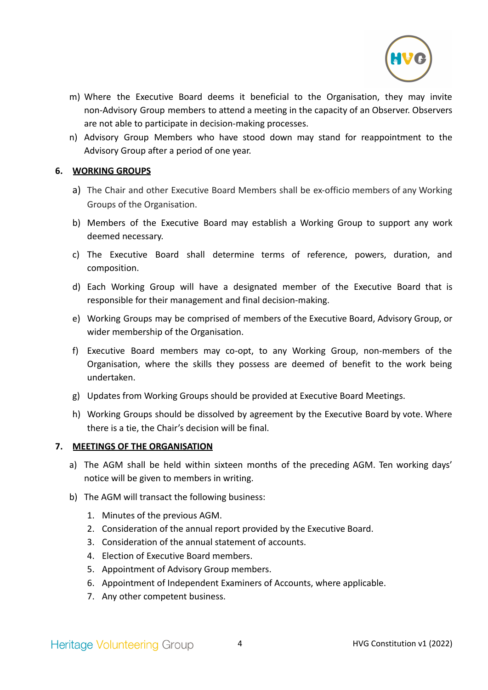

- m) Where the Executive Board deems it beneficial to the Organisation, they may invite non-Advisory Group members to attend a meeting in the capacity of an Observer. Observers are not able to participate in decision-making processes.
- n) Advisory Group Members who have stood down may stand for reappointment to the Advisory Group after a period of one year.

#### **6. WORKING GROUPS**

- a) The Chair and other Executive Board Members shall be ex-officio members of any Working Groups of the Organisation.
- b) Members of the Executive Board may establish a Working Group to support any work deemed necessary.
- c) The Executive Board shall determine terms of reference, powers, duration, and composition.
- d) Each Working Group will have a designated member of the Executive Board that is responsible for their management and final decision-making.
- e) Working Groups may be comprised of members of the Executive Board, Advisory Group, or wider membership of the Organisation.
- f) Executive Board members may co-opt, to any Working Group, non-members of the Organisation, where the skills they possess are deemed of benefit to the work being undertaken.
- g) Updates from Working Groups should be provided at Executive Board Meetings.
- h) Working Groups should be dissolved by agreement by the Executive Board by vote. Where there is a tie, the Chair's decision will be final.

#### **7. MEETINGS OF THE ORGANISATION**

- a) The AGM shall be held within sixteen months of the preceding AGM. Ten working days' notice will be given to members in writing.
- b) The AGM will transact the following business:
	- 1. Minutes of the previous AGM.
	- 2. Consideration of the annual report provided by the Executive Board.
	- 3. Consideration of the annual statement of accounts.
	- 4. Election of Executive Board members.
	- 5. Appointment of Advisory Group members.
	- 6. Appointment of Independent Examiners of Accounts, where applicable.
	- 7. Any other competent business.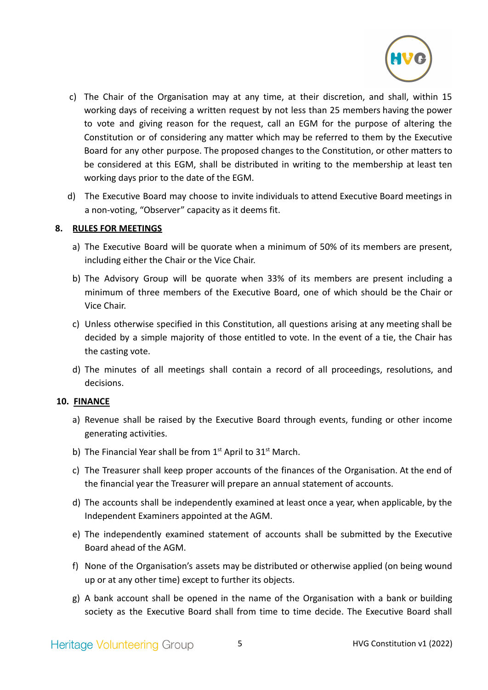

- c) The Chair of the Organisation may at any time, at their discretion, and shall, within 15 working days of receiving a written request by not less than 25 members having the power to vote and giving reason for the request, call an EGM for the purpose of altering the Constitution or of considering any matter which may be referred to them by the Executive Board for any other purpose. The proposed changes to the Constitution, or other matters to be considered at this EGM, shall be distributed in writing to the membership at least ten working days prior to the date of the EGM.
- d) The Executive Board may choose to invite individuals to attend Executive Board meetings in a non-voting, "Observer" capacity as it deems fit.

#### **8. RULES FOR MEETINGS**

- a) The Executive Board will be quorate when a minimum of 50% of its members are present, including either the Chair or the Vice Chair.
- b) The Advisory Group will be quorate when 33% of its members are present including a minimum of three members of the Executive Board, one of which should be the Chair or Vice Chair.
- c) Unless otherwise specified in this Constitution, all questions arising at any meeting shall be decided by a simple majority of those entitled to vote. In the event of a tie, the Chair has the casting vote.
- d) The minutes of all meetings shall contain a record of all proceedings, resolutions, and decisions.

#### **10. FINANCE**

- a) Revenue shall be raised by the Executive Board through events, funding or other income generating activities.
- b) The Financial Year shall be from  $1<sup>st</sup>$  April to  $31<sup>st</sup>$  March.
- c) The Treasurer shall keep proper accounts of the finances of the Organisation. At the end of the financial year the Treasurer will prepare an annual statement of accounts.
- d) The accounts shall be independently examined at least once a year, when applicable, by the Independent Examiners appointed at the AGM.
- e) The independently examined statement of accounts shall be submitted by the Executive Board ahead of the AGM.
- f) None of the Organisation's assets may be distributed or otherwise applied (on being wound up or at any other time) except to further its objects.
- g) A bank account shall be opened in the name of the Organisation with a bank or building society as the Executive Board shall from time to time decide. The Executive Board shall